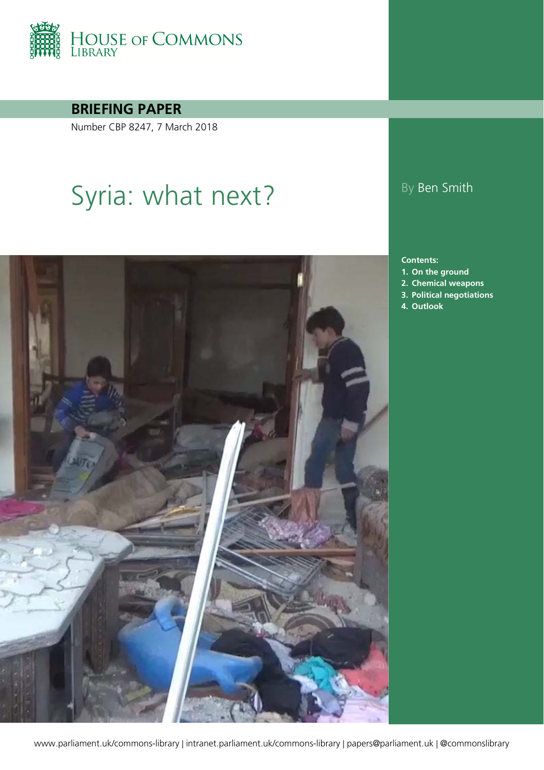

**BRIEFING PAPER**

Number CBP 8247, 7 March 2018

# Syria: what next? By Ben Smith



#### **Contents:**

- **1. [On the ground](#page-4-0)**
- **2. [Chemical weapons](#page-14-0)**
- **3. [Political negotiations](#page-15-0)**
- **4. [Outlook](#page-17-0)**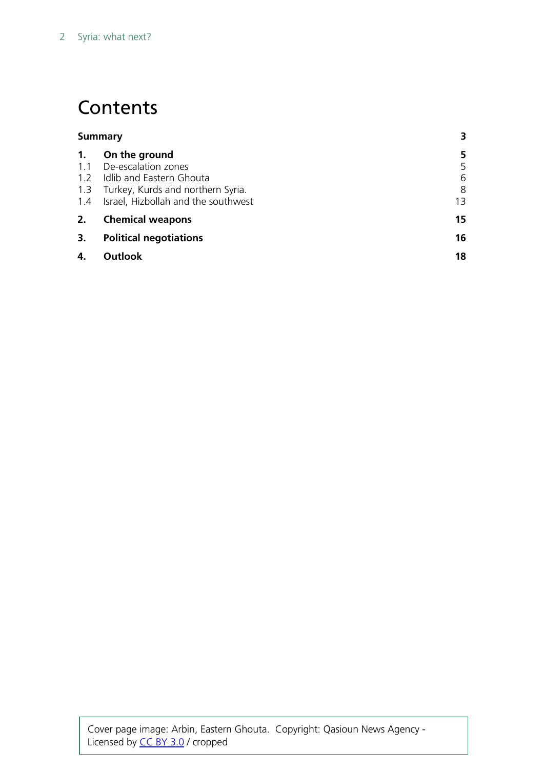## **Contents**

| Summary |                                         |    |
|---------|-----------------------------------------|----|
| 1.      | On the ground                           | 5  |
|         | 1.1 De-escalation zones                 | 5  |
|         | 1.2 Idlib and Eastern Ghouta            | 6  |
|         | 1.3 Turkey, Kurds and northern Syria.   | 8  |
|         | 1.4 Israel, Hizbollah and the southwest | 13 |
| 2.      | <b>Chemical weapons</b>                 | 15 |
| 3.      | <b>Political negotiations</b>           | 16 |
| 4.      | Outlook                                 | 18 |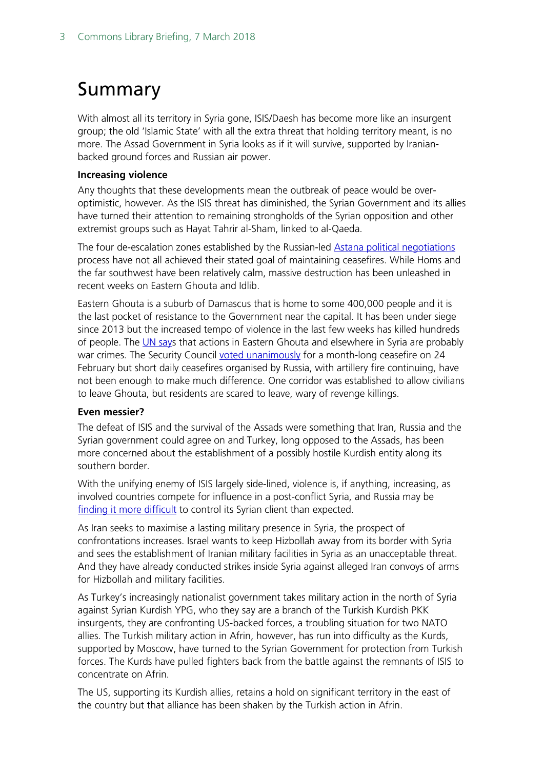# <span id="page-2-0"></span>Summary

With almost all its territory in Syria gone, ISIS/Daesh has become more like an insurgent group; the old 'Islamic State' with all the extra threat that holding territory meant, is no more. The Assad Government in Syria looks as if it will survive, supported by Iranianbacked ground forces and Russian air power.

#### **Increasing violence**

Any thoughts that these developments mean the outbreak of peace would be overoptimistic, however. As the ISIS threat has diminished, the Syrian Government and its allies have turned their attention to remaining strongholds of the Syrian opposition and other extremist groups such as Hayat Tahrir al-Sham, linked to al-Qaeda.

The four de-escalation zones established by the Russian-led [Astana political negotiations](http://researchbriefings.files.parliament.uk/documents/CBP-8011/CBP-8011.pdf) process have not all achieved their stated goal of maintaining ceasefires. While Homs and the far southwest have been relatively calm, massive destruction has been unleashed in recent weeks on Eastern Ghouta and Idlib.

Eastern Ghouta is a suburb of Damascus that is home to some 400,000 people and it is the last pocket of resistance to the Government near the capital. It has been under siege since 2013 but the increased tempo of violence in the last few weeks has killed hundreds of people. The [UN says](https://www.theguardian.com/world/2018/mar/02/syrian-forces-seize-new-ground-in-rebel-held-eastern-ghouta) that actions in Eastern Ghouta and elsewhere in Syria are probably war crimes. The Security Council [voted unanimously](http://www.securitycouncilreport.org/atf/cf/%7B65BFCF9B-6D27-4E9C-8CD3-CF6E4FF96FF9%7D/s_res_2401.pdf) for a month-long ceasefire on 24 February but short daily ceasefires organised by Russia, with artillery fire continuing, have not been enough to make much difference. One corridor was established to allow civilians to leave Ghouta, but residents are scared to leave, wary of revenge killings.

#### **Even messier?**

The defeat of ISIS and the survival of the Assads were something that Iran, Russia and the Syrian government could agree on and Turkey, long opposed to the Assads, has been more concerned about the establishment of a possibly hostile Kurdish entity along its southern border.

With the unifying enemy of ISIS largely side-lined, violence is, if anything, increasing, as involved countries compete for influence in a post-conflict Syria, and Russia may be [finding it more difficult](https://www.brookings.edu/blog/order-from-chaos/2018/02/21/russia-stumbles-in-the-fog-of-syrian-war/?utm_campaign=Brookings%20Brief&utm_source=hs_email&utm_medium=email&utm_content=60856274) to control its Syrian client than expected.

As Iran seeks to maximise a lasting military presence in Syria, the prospect of confrontations increases. Israel wants to keep Hizbollah away from its border with Syria and sees the establishment of Iranian military facilities in Syria as an unacceptable threat. And they have already conducted strikes inside Syria against alleged Iran convoys of arms for Hizbollah and military facilities.

As Turkey's increasingly nationalist government takes military action in the north of Syria against Syrian Kurdish YPG, who they say are a branch of the Turkish Kurdish PKK insurgents, they are confronting US-backed forces, a troubling situation for two NATO allies. The Turkish military action in Afrin, however, has run into difficulty as the Kurds, supported by Moscow, have turned to the Syrian Government for protection from Turkish forces. The Kurds have pulled fighters back from the battle against the remnants of ISIS to concentrate on Afrin.

The US, supporting its Kurdish allies, retains a hold on significant territory in the east of the country but that alliance has been shaken by the Turkish action in Afrin.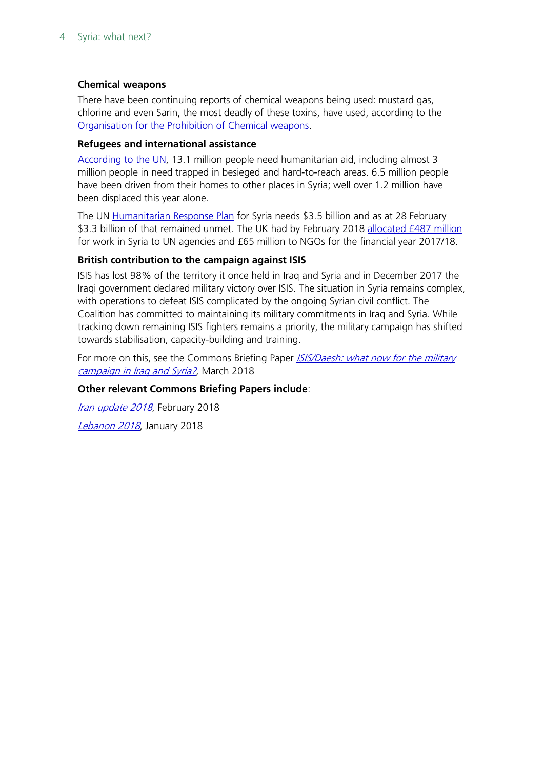#### **Chemical weapons**

There have been continuing reports of chemical weapons being used: mustard gas, chlorine and even Sarin, the most deadly of these toxins, have used, according to the [Organisation for the Prohibition of Chemical weapons.](https://www.opcw.org/news/article/opcw-fact-finding-mission-in-syria-continues-investigations-into-allegations-of-chemical-weapons-use/)

#### **Refugees and international assistance**

[According to the UN,](http://www.unocha.org/syrian-arab-republic/syria-country-profile/about-crisis) 13.1 million people need humanitarian aid, including almost 3 million people in need trapped in besieged and hard-to-reach areas. 6.5 million people have been driven from their homes to other places in Syria; well over 1.2 million have been displaced this year alone.

The UN [Humanitarian Response Plan](https://reliefweb.int/sites/reliefweb.int/files/resources/hrp_weekly_funding_status_180228.pdf) for Syria needs \$3.5 billion and as at 28 February \$3.3 billion of that remained unmet. The UK had by February 2018 [allocated £487 million](http://www.parliament.uk/written-questions-answers-statements/written-question/commons/2018-02-21/128886) for work in Syria to UN agencies and £65 million to NGOs for the financial year 2017/18.

#### **British contribution to the campaign against ISIS**

ISIS has lost 98% of the territory it once held in Iraq and Syria and in December 2017 the Iraqi government declared military victory over ISIS. The situation in Syria remains complex, with operations to defeat ISIS complicated by the ongoing Syrian civil conflict. The Coalition has committed to maintaining its military commitments in Iraq and Syria. While tracking down remaining ISIS fighters remains a priority, the military campaign has shifted towards stabilisation, capacity-building and training.

For more on this, see the Commons Briefing Paper ISIS/Daesh: what now for the military [campaign in Iraq and Syria?,](http://researchbriefings.parliament.uk/ResearchBriefing/Summary/CBP-8248) March 2018

#### **Other relevant Commons Briefing Papers include**:

[Iran update 2018](http://researchbriefings.parliament.uk/ResearchBriefing/Summary/CBP-8220), February 2018 [Lebanon 2018](http://researchbriefings.parliament.uk/ResearchBriefing/Summary/CBP-8208), January 2018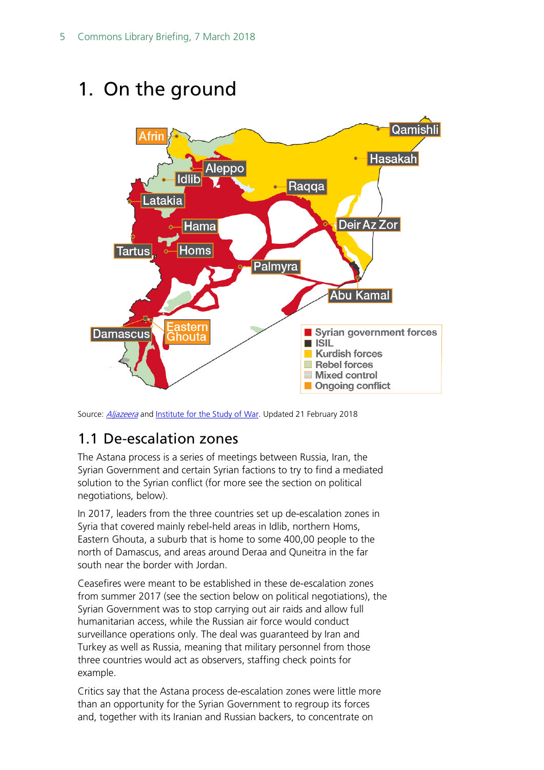# <span id="page-4-0"></span>1. On the ground



Source: *[Aljazeera](https://www.aljazeera.com/indepth/interactive/2015/05/syria-country-divided-150529144229467.html)* and *Institute for the Study of War*. Updated 21 February 2018

### <span id="page-4-1"></span>1.1 De-escalation zones

The Astana process is a series of meetings between Russia, Iran, the Syrian Government and certain Syrian factions to try to find a mediated solution to the Syrian conflict (for more see the section on political negotiations, below).

In 2017, leaders from the three countries set up de-escalation zones in Syria that covered mainly rebel-held areas in Idlib, northern Homs, Eastern Ghouta, a suburb that is home to some 400,00 people to the north of Damascus, and areas around Deraa and Quneitra in the far south near the border with Jordan.

Ceasefires were meant to be established in these de-escalation zones from summer 2017 (see the section below on political negotiations), the Syrian Government was to stop carrying out air raids and allow full humanitarian access, while the Russian air force would conduct surveillance operations only. The deal was guaranteed by Iran and Turkey as well as Russia, meaning that military personnel from those three countries would act as observers, staffing check points for example.

Critics say that the Astana process de-escalation zones were little more than an opportunity for the Syrian Government to regroup its forces and, together with its Iranian and Russian backers, to concentrate on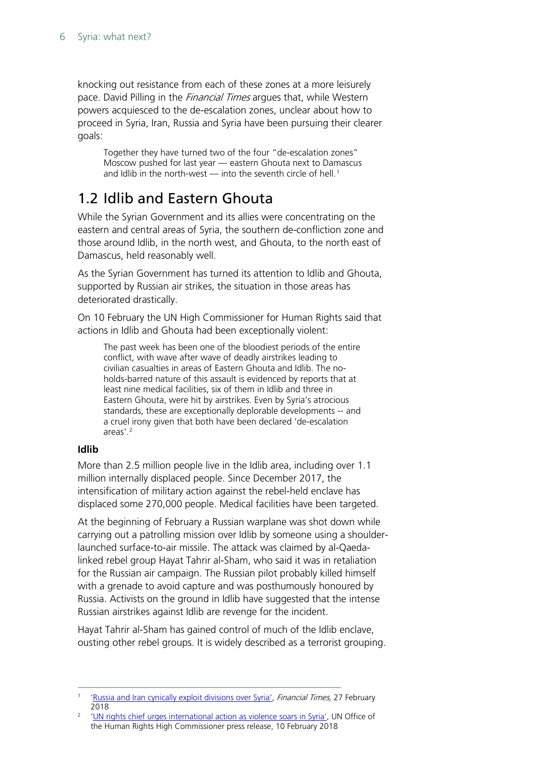knocking out resistance from each of these zones at a more leisurely pace. David Pilling in the *Financial Times* argues that, while Western powers acquiesced to the de-escalation zones, unclear about how to proceed in Syria, Iran, Russia and Syria have been pursuing their clearer goals:

Together they have turned two of the four "de-escalation zones" Moscow pushed for last year — eastern Ghouta next to Damascus and Idlib in the north-west  $-$  into the seventh circle of hell.<sup>[1](#page-5-1)</sup>

### <span id="page-5-0"></span>1.2 Idlib and Eastern Ghouta

While the Syrian Government and its allies were concentrating on the eastern and central areas of Syria, the southern de-confliction zone and those around Idlib, in the north west, and Ghouta, to the north east of Damascus, held reasonably well.

As the Syrian Government has turned its attention to Idlib and Ghouta, supported by Russian air strikes, the situation in those areas has deteriorated drastically.

On 10 February the UN High Commissioner for Human Rights said that actions in Idlib and Ghouta had been exceptionally violent:

The past week has been one of the bloodiest periods of the entire conflict, with wave after wave of deadly airstrikes leading to civilian casualties in areas of Eastern Ghouta and Idlib. The noholds-barred nature of this assault is evidenced by reports that at least nine medical facilities, six of them in Idlib and three in Eastern Ghouta, were hit by airstrikes. Even by Syria's atrocious standards, these are exceptionally deplorable developments -- and a cruel irony given that both have been declared 'de-escalation areas'.<sup>[2](#page-5-2)</sup>

#### **Idlib**

More than 2.5 million people live in the Idlib area, including over 1.1 million internally displaced people. Since December 2017, the intensification of military action against the rebel-held enclave has displaced some 270,000 people. Medical facilities have been targeted.

At the beginning of February a Russian warplane was shot down while carrying out a patrolling mission over Idlib by someone using a shoulderlaunched surface-to-air missile. The attack was claimed by al-Qaedalinked rebel group Hayat Tahrir al-Sham, who said it was in retaliation for the Russian air campaign. The Russian pilot probably killed himself with a grenade to avoid capture and was posthumously honoured by Russia. Activists on the ground in Idlib have suggested that the intense Russian airstrikes against Idlib are revenge for the incident.

Hayat Tahrir al-Sham has gained control of much of the Idlib enclave, ousting other rebel groups. It is widely described as a terrorist grouping.

<span id="page-5-1"></span>[<sup>&#</sup>x27;Russia and Iran cynically exploit divisions over Syria',](https://www.ft.com/content/44010676-1b20-11e8-956a-43db76e69936?desktop=true&segmentId=7c8f09b9-9b61-4fbb-9430-9208a9e233c8#myft:notification:daily-email:content) Financial Times, 27 February 2018

<span id="page-5-2"></span><sup>&</sup>lt;sup>2</sup> ['UN rights chief urges international action as violence soars in Syria',](http://www.ohchr.org/EN/NewsEvents/Pages/DisplayNews.aspx?NewsID=22647) UN Office of the Human Rights High Commissioner press release, 10 February 2018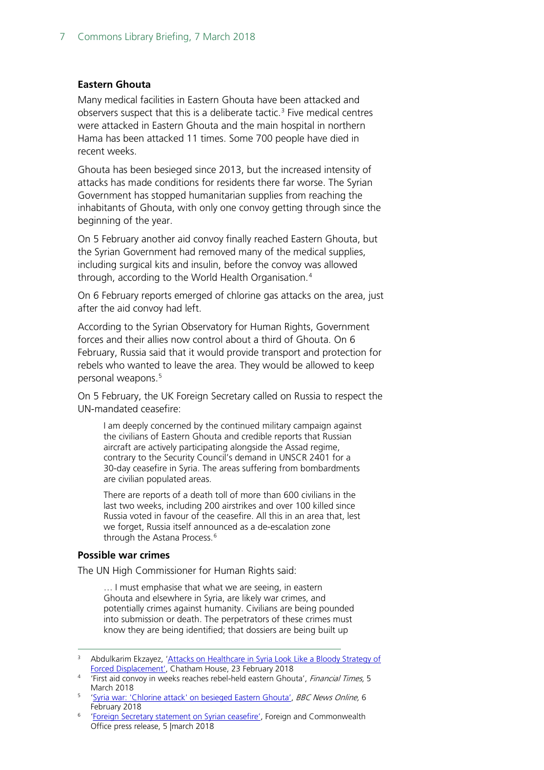#### **Eastern Ghouta**

Many medical facilities in Eastern Ghouta have been attacked and observers suspect that this is a deliberate tactic.<sup>[3](#page-6-0)</sup> Five medical centres were attacked in Eastern Ghouta and the main hospital in northern Hama has been attacked 11 times. Some 700 people have died in recent weeks.

Ghouta has been besieged since 2013, but the increased intensity of attacks has made conditions for residents there far worse. The Syrian Government has stopped humanitarian supplies from reaching the inhabitants of Ghouta, with only one convoy getting through since the beginning of the year.

On 5 February another aid convoy finally reached Eastern Ghouta, but the Syrian Government had removed many of the medical supplies, including surgical kits and insulin, before the convoy was allowed through, according to the World Health Organisation.[4](#page-6-1)

On 6 February reports emerged of chlorine gas attacks on the area, just after the aid convoy had left.

According to the Syrian Observatory for Human Rights, Government forces and their allies now control about a third of Ghouta. On 6 February, Russia said that it would provide transport and protection for rebels who wanted to leave the area. They would be allowed to keep personal weapons.<sup>[5](#page-6-2)</sup>

On 5 February, the UK Foreign Secretary called on Russia to respect the UN-mandated ceasefire:

I am deeply concerned by the continued military campaign against the civilians of Eastern Ghouta and credible reports that Russian aircraft are actively participating alongside the Assad regime, contrary to the Security Council's demand in UNSCR 2401 for a 30-day ceasefire in Syria. The areas suffering from bombardments are civilian populated areas.

There are reports of a death toll of more than 600 civilians in the last two weeks, including 200 airstrikes and over 100 killed since Russia voted in favour of the ceasefire. All this in an area that, lest we forget, Russia itself announced as a de-escalation zone through the Astana Process.<sup>[6](#page-6-3)</sup>

#### **Possible war crimes**

The UN High Commissioner for Human Rights said:

… I must emphasise that what we are seeing, in eastern Ghouta and elsewhere in Syria, are likely war crimes, and potentially crimes against humanity. Civilians are being pounded into submission or death. The perpetrators of these crimes must know they are being identified; that dossiers are being built up

<span id="page-6-2"></span><sup>5</sup> ['Syria war: 'Chlorine attack' on besieged Eastern Ghouta',](http://www.bbc.co.uk/news/world-middle-east-43300293) BBC News Online, 6 February 2018

<span id="page-6-0"></span><sup>&</sup>lt;sup>3</sup> Abdulkarim Ekzayez, 'Attacks on Healthcare in Syria Look Like a Bloody Strategy of [Forced Displacement',](https://www.chathamhouse.org/expert/comment/attacks-healthcare-syria-look-bloody-strategy-forced-displacement?utm_source=Chatham%20House&utm_medium=email&utm_campaign=9229060_CH%20Newsletter%20-%2002.03.2018&utm_content=Syria-CTA&dm_i=1S3M,5HT6S,NUT8AU,LAYFG,1) Chatham House, 23 February 2018

<span id="page-6-1"></span><sup>4</sup> 'First aid convoy in weeks reaches rebel-held eastern Ghouta', Financial Times, 5 March 2018

<span id="page-6-3"></span><sup>6</sup> ['Foreign Secretary statement on Syrian ceasefire',](https://www.gov.uk/government/news/foreign-secretary-statement-on-syrian-ceasefire) Foreign and Commonwealth Office press release, 5 |march 2018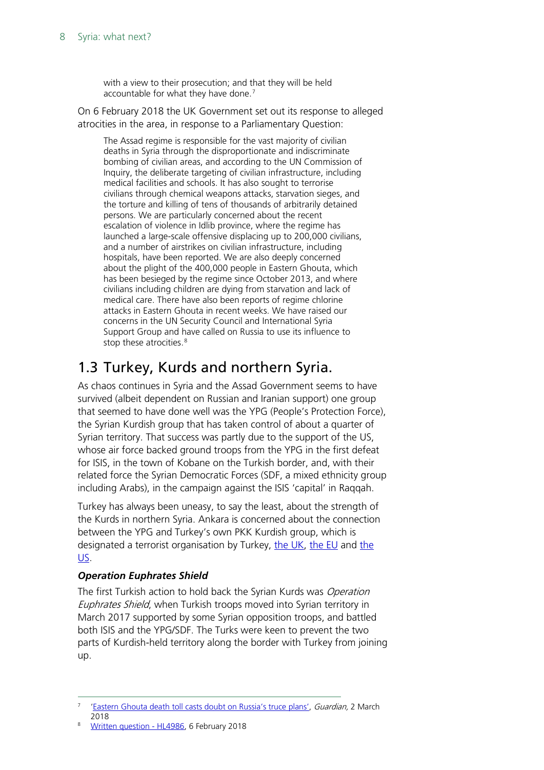with a view to their prosecution; and that they will be held accountable for what they have done.[7](#page-7-1)

On 6 February 2018 the UK Government set out its response to alleged atrocities in the area, in response to a Parliamentary Question:

The Assad regime is responsible for the vast majority of civilian deaths in Syria through the disproportionate and indiscriminate bombing of civilian areas, and according to the UN Commission of Inquiry, the deliberate targeting of civilian infrastructure, including medical facilities and schools. It has also sought to terrorise civilians through chemical weapons attacks, starvation sieges, and the torture and killing of tens of thousands of arbitrarily detained persons. We are particularly concerned about the recent escalation of violence in Idlib province, where the regime has launched a large-scale offensive displacing up to 200,000 civilians, and a number of airstrikes on civilian infrastructure, including hospitals, have been reported. We are also deeply concerned about the plight of the 400,000 people in Eastern Ghouta, which has been besieged by the regime since October 2013, and where civilians including children are dying from starvation and lack of medical care. There have also been reports of regime chlorine attacks in Eastern Ghouta in recent weeks. We have raised our concerns in the UN Security Council and International Syria Support Group and have called on Russia to use its influence to stop these atrocities.<sup>[8](#page-7-2)</sup>

### <span id="page-7-0"></span>1.3 Turkey, Kurds and northern Syria.

As chaos continues in Syria and the Assad Government seems to have survived (albeit dependent on Russian and Iranian support) one group that seemed to have done well was the YPG (People's Protection Force), the Syrian Kurdish group that has taken control of about a quarter of Syrian territory. That success was partly due to the support of the US, whose air force backed ground troops from the YPG in the first defeat for ISIS, in the town of Kobane on the Turkish border, and, with their related force the Syrian Democratic Forces (SDF, a mixed ethnicity group including Arabs), in the campaign against the ISIS 'capital' in Raqqah.

Turkey has always been uneasy, to say the least, about the strength of the Kurds in northern Syria. Ankara is concerned about the connection between the YPG and Turkey's own PKK Kurdish group, which is designated a terrorist organisation by Turkey, [the UK,](https://www.gov.uk/government/uploads/system/uploads/attachment_data/file/670599/20171222_Proscription.pdf) [the EU](http://eur-lex.europa.eu/legal-content/en/TXT/PDF/?uri=CELEX:32017D1426&from=EN) and the [US.](https://www.state.gov/j/ct/rls/other/des/123085.htm)

#### *Operation Euphrates Shield*

The first Turkish action to hold back the Syrian Kurds was Operation Euphrates Shield, when Turkish troops moved into Syrian territory in March 2017 supported by some Syrian opposition troops, and battled both ISIS and the YPG/SDF. The Turks were keen to prevent the two parts of Kurdish-held territory along the border with Turkey from joining up.

<span id="page-7-1"></span>[<sup>&#</sup>x27;Eastern Ghouta death toll casts doubt on Russia's truce plans',](https://www.theguardian.com/world/2018/mar/02/syrian-forces-seize-new-ground-in-rebel-held-eastern-ghouta) Guardian, 2 March 2018

<span id="page-7-2"></span><sup>8</sup> [Written question -](http://www.parliament.uk/written-questions-answers-statements/written-question/lords/2018-01-23/HL4986) HL4986, 6 February 2018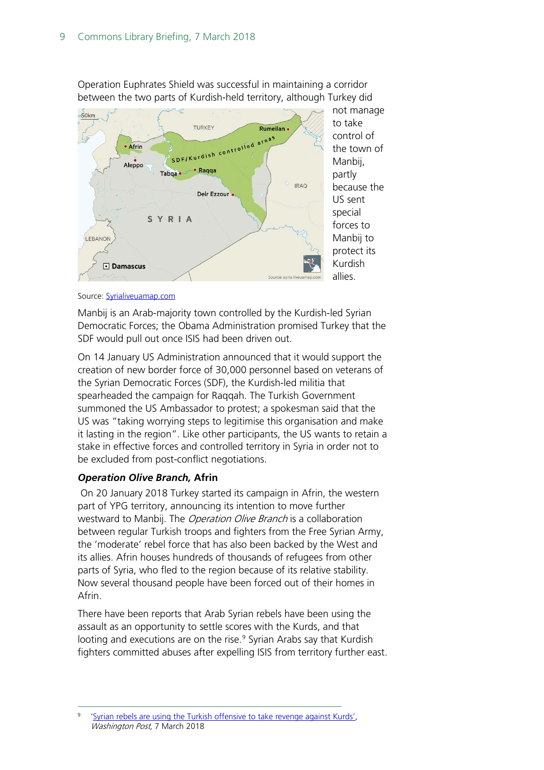

Operation Euphrates Shield was successful in maintaining a corridor between the two parts of Kurdish-held territory, although Turkey did



Source: **Syrialiveuamap.com** 

Manbij is an Arab-majority town controlled by the Kurdish-led Syrian Democratic Forces; the Obama Administration promised Turkey that the SDF would pull out once ISIS had been driven out.

On 14 January US Administration announced that it would support the creation of new border force of 30,000 personnel based on veterans of the Syrian Democratic Forces (SDF), the Kurdish-led militia that spearheaded the campaign for Raqqah. The Turkish Government summoned the US Ambassador to protest; a spokesman said that the US was "taking worrying steps to legitimise this organisation and make it lasting in the region". Like other participants, the US wants to retain a stake in effective forces and controlled territory in Syria in order not to be excluded from post-conflict negotiations.

#### *Operation Olive Branch,* **Afrin**

On 20 January 2018 Turkey started its campaign in Afrin, the western part of YPG territory, announcing its intention to move further westward to Manbij. The *Operation Olive Branch* is a collaboration between regular Turkish troops and fighters from the Free Syrian Army, the 'moderate' rebel force that has also been backed by the West and its allies. Afrin houses hundreds of thousands of refugees from other parts of Syria, who fled to the region because of its relative stability. Now several thousand people have been forced out of their homes in Afrin.

There have been reports that Arab Syrian rebels have been using the assault as an opportunity to settle scores with the Kurds, and that looting and executions are on the rise.<sup>[9](#page-8-0)</sup> Syrian Arabs say that Kurdish fighters committed abuses after expelling ISIS from territory further east.

<span id="page-8-0"></span>[<sup>&#</sup>x27;Syrian rebels are using the Turkish offensive](https://www.washingtonpost.com/world/syrian-rebels-are-using-the-turkish-offensive-to-take-revenge-against-kurds/2018/03/06/85c36eea-1e2d-11e8-8a2c-1a6665f59e95_story.html?utm_term=.0df85d0396f5) to take revenge against Kurds', Washington Post, 7 March 2018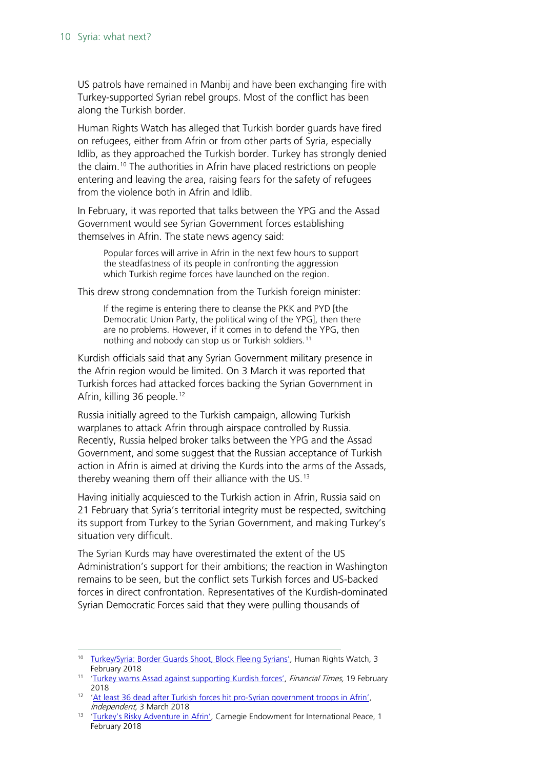US patrols have remained in Manbij and have been exchanging fire with Turkey-supported Syrian rebel groups. Most of the conflict has been along the Turkish border.

Human Rights Watch has alleged that Turkish border guards have fired on refugees, either from Afrin or from other parts of Syria, especially Idlib, as they approached the Turkish border. Turkey has strongly denied the claim. [10](#page-9-0) The authorities in Afrin have placed restrictions on people entering and leaving the area, raising fears for the safety of refugees from the violence both in Afrin and Idlib.

In February, it was reported that talks between the YPG and the Assad Government would see Syrian Government forces establishing themselves in Afrin. The state news agency said:

Popular forces will arrive in Afrin in the next few hours to support the steadfastness of its people in confronting the aggression which Turkish regime forces have launched on the region.

This drew strong condemnation from the Turkish foreign minister:

If the regime is entering there to cleanse the PKK and PYD [the Democratic Union Party, the political wing of the YPG], then there are no problems. However, if it comes in to defend the YPG, then nothing and nobody can stop us or Turkish soldiers.<sup>[11](#page-9-1)</sup>

Kurdish officials said that any Syrian Government military presence in the Afrin region would be limited. On 3 March it was reported that Turkish forces had attacked forces backing the Syrian Government in Afrin, killing 36 people.<sup>[12](#page-9-2)</sup>

Russia initially agreed to the Turkish campaign, allowing Turkish warplanes to attack Afrin through airspace controlled by Russia. Recently, Russia helped broker talks between the YPG and the Assad Government, and some suggest that the Russian acceptance of Turkish action in Afrin is aimed at driving the Kurds into the arms of the Assads, thereby weaning them off their alliance with the US.<sup>[13](#page-9-3)</sup>

Having initially acquiesced to the Turkish action in Afrin, Russia said on 21 February that Syria's territorial integrity must be respected, switching its support from Turkey to the Syrian Government, and making Turkey's situation very difficult.

The Syrian Kurds may have overestimated the extent of the US Administration's support for their ambitions; the reaction in Washington remains to be seen, but the conflict sets Turkish forces and US-backed forces in direct confrontation. Representatives of the Kurdish-dominated Syrian Democratic Forces said that they were pulling thousands of

<span id="page-9-0"></span><sup>&</sup>lt;sup>10</sup> [Turkey/Syria: Border Guards Shoot, Block Fleeing Syrians',](https://www.hrw.org/news/2018/02/03/turkey/syria-border-guards-shoot-block-fleeing-syrians) Human Rights Watch, 3 February 2018

<span id="page-9-1"></span><sup>&</sup>lt;sup>11</sup> ['Turkey warns Assad against supporting Kurdish forces',](https://www.ft.com/content/0aa5b7da-156e-11e8-9376-4a6390addb44?desktop=true&segmentId=7c8f09b9-9b61-4fbb-9430-9208a9e233c8#myft:notification:daily-email:content) Financial Times, 19 February 2018

<span id="page-9-2"></span><sup>&</sup>lt;sup>12</sup> 'At least 36 dead after Turkish forces hit pro-Syrian government troops in Afrin', Independent, 3 March 2018

<span id="page-9-3"></span><sup>&</sup>lt;sup>13</sup> ['Turkey's Risky Adventure in Afrin',](http://carnegieendowment.org/sada/75419?mkt_tok=eyJpIjoiWmpnMFpERTJZekEzTlRkbSIsInQiOiJ5NDRneUxiam1GYjBsN0JGdkNBSmJYUEJqZFc4emhCZ2paZEYyUDlPK2NjY29kSlNFeCtWemVVNjhCYWVWaks4TkUrWkxHbEtjWXZ4RFlPMzNNbjBENGEyaHV5aUpVVmpsaVFCajFQcDdcL2ZYeW9QME85VFd6YklQZEw5bTVIc1AifQ%3D%3D) Carnegie Endowment for International Peace, 1 February 2018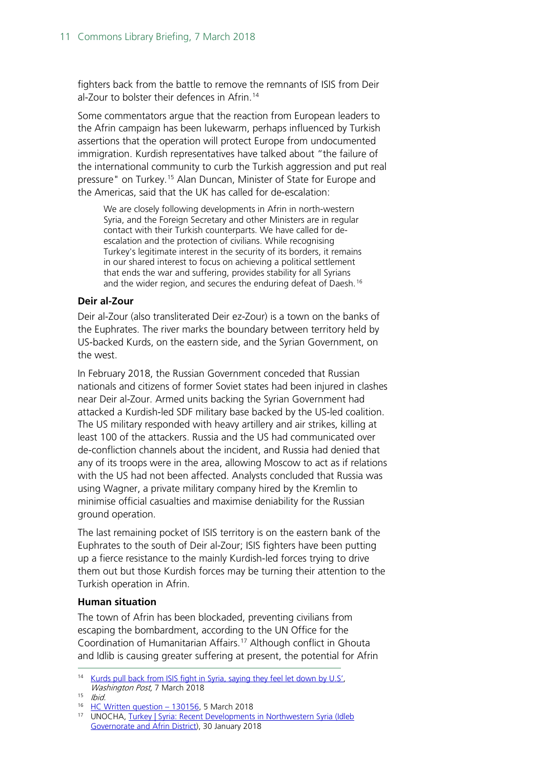fighters back from the battle to remove the remnants of ISIS from Deir al-Zour to bolster their defences in Afrin.<sup>[14](#page-10-0)</sup>

Some commentators argue that the reaction from European leaders to the Afrin campaign has been lukewarm, perhaps influenced by Turkish assertions that the operation will protect Europe from undocumented immigration. Kurdish representatives have talked about "the failure of the international community to curb the Turkish aggression and put real pressure" on Turkey.[15](#page-10-1) Alan Duncan, Minister of State for Europe and the Americas, said that the UK has called for de-escalation:

We are closely following developments in Afrin in north-western Syria, and the Foreign Secretary and other Ministers are in regular contact with their Turkish counterparts. We have called for deescalation and the protection of civilians. While recognising Turkey's legitimate interest in the security of its borders, it remains in our shared interest to focus on achieving a political settlement that ends the war and suffering, provides stability for all Syrians and the wider region, and secures the enduring defeat of Daesh.<sup>[16](#page-10-2)</sup>

#### **Deir al-Zour**

Deir al-Zour (also transliterated Deir ez-Zour) is a town on the banks of the Euphrates. The river marks the boundary between territory held by US-backed Kurds, on the eastern side, and the Syrian Government, on the west.

In February 2018, the Russian Government conceded that Russian nationals and citizens of former Soviet states had been injured in clashes near Deir al-Zour. Armed units backing the Syrian Government had attacked a Kurdish-led SDF military base backed by the US-led coalition. The US military responded with heavy artillery and air strikes, killing at least 100 of the attackers. Russia and the US had communicated over de-confliction channels about the incident, and Russia had denied that any of its troops were in the area, allowing Moscow to act as if relations with the US had not been affected. Analysts concluded that Russia was using Wagner, a private military company hired by the Kremlin to minimise official casualties and maximise deniability for the Russian ground operation.

The last remaining pocket of ISIS territory is on the eastern bank of the Euphrates to the south of Deir al-Zour; ISIS fighters have been putting up a fierce resistance to the mainly Kurdish-led forces trying to drive them out but those Kurdish forces may be turning their attention to the Turkish operation in Afrin.

#### **Human situation**

The town of Afrin has been blockaded, preventing civilians from escaping the bombardment, according to the UN Office for the Coordination of Humanitarian Affairs.<sup>[17](#page-10-3)</sup> Although conflict in Ghouta and Idlib is causing greater suffering at present, the potential for Afrin

<span id="page-10-0"></span><sup>&</sup>lt;sup>14</sup> [Kurds pull back from ISIS fight in Syria, saying they feel let down by U.S',](https://www.washingtonpost.com/world/kurds-pull-back-from-isis-fight-in-syria-say-they-are-let-down-by-us/2018/03/06/3fd2c2ca-2173-11e8-946c-9420060cb7bd_story.html?utm_term=.f3690279d034) Washington Post, 7 March 2018

<span id="page-10-1"></span> $15$  Ibid.

<sup>16</sup> [HC Written question –](http://www.parliament.uk/written-questions-answers-statements/written-question/commons/2018-02-27/130156) 130156, 5 March 2018

<span id="page-10-3"></span><span id="page-10-2"></span><sup>17</sup> UNOCHA, [Turkey | Syria: Recent Developments in Northwestern Syria \(Idleb](https://reliefweb.int/sites/reliefweb.int/files/resources/Latest_Developments_in_North-western_Syria_20180130.pdf)  [Governorate and Afrin District\)](https://reliefweb.int/sites/reliefweb.int/files/resources/Latest_Developments_in_North-western_Syria_20180130.pdf), 30 January 2018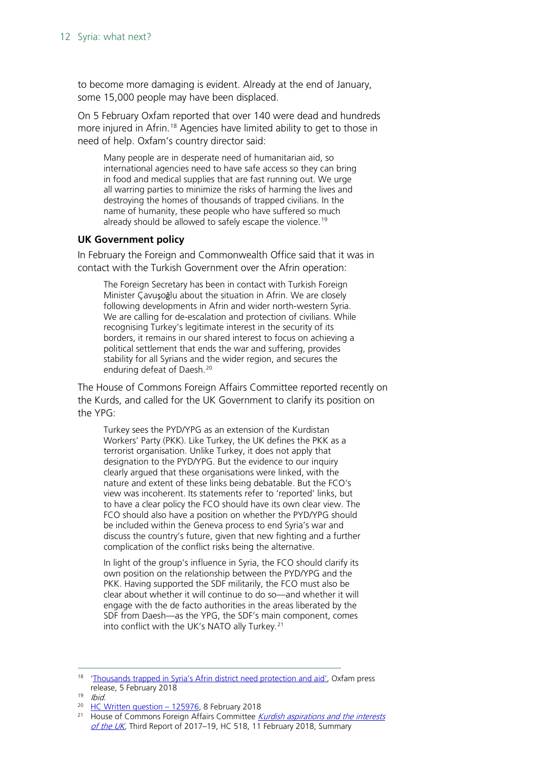to become more damaging is evident. Already at the end of January, some 15,000 people may have been displaced.

On 5 February Oxfam reported that over 140 were dead and hundreds more injured in Afrin.<sup>[18](#page-11-0)</sup> Agencies have limited ability to get to those in need of help. Oxfam's country director said:

Many people are in desperate need of humanitarian aid, so international agencies need to have safe access so they can bring in food and medical supplies that are fast running out. We urge all warring parties to minimize the risks of harming the lives and destroying the homes of thousands of trapped civilians. In the name of humanity, these people who have suffered so much already should be allowed to safely escape the violence. [19](#page-11-1)

#### **UK Government policy**

In February the Foreign and Commonwealth Office said that it was in contact with the Turkish Government over the Afrin operation:

The Foreign Secretary has been in contact with Turkish Foreign Minister Çavuşoğlu about the situation in Afrin. We are closely following developments in Afrin and wider north-western Syria. We are calling for de-escalation and protection of civilians. While recognising Turkey's legitimate interest in the security of its borders, it remains in our shared interest to focus on achieving a political settlement that ends the war and suffering, provides stability for all Syrians and the wider region, and secures the enduring defeat of Daesh.[20](#page-11-2)

The House of Commons Foreign Affairs Committee reported recently on the Kurds, and called for the UK Government to clarify its position on the YPG:

Turkey sees the PYD/YPG as an extension of the Kurdistan Workers' Party (PKK). Like Turkey, the UK defines the PKK as a terrorist organisation. Unlike Turkey, it does not apply that designation to the PYD/YPG. But the evidence to our inquiry clearly argued that these organisations were linked, with the nature and extent of these links being debatable. But the FCO's view was incoherent. Its statements refer to 'reported' links, but to have a clear policy the FCO should have its own clear view. The FCO should also have a position on whether the PYD/YPG should be included within the Geneva process to end Syria's war and discuss the country's future, given that new fighting and a further complication of the conflict risks being the alternative.

In light of the group's influence in Syria, the FCO should clarify its own position on the relationship between the PYD/YPG and the PKK. Having supported the SDF militarily, the FCO must also be clear about whether it will continue to do so—and whether it will engage with the de facto authorities in the areas liberated by the SDF from Daesh—as the YPG, the SDF's main component, comes into conflict with the UK's NATO ally Turkey.<sup>[21](#page-11-3)</sup>

<span id="page-11-0"></span><sup>&</sup>lt;sup>18</sup> ['Thousands trapped in Syria's Afrin district need protection and aid',](https://www.oxfam.org/en/pressroom/pressreleases/2018-02-05/thousands-trapped-syrias-afrin-district-need-protection-and-aid) Oxfam press release, 5 February 2018

<span id="page-11-1"></span> $19$  Ibid.

<sup>&</sup>lt;sup>20</sup> [HC Written question –](http://www.parliament.uk/written-questions-answers-statements/written-question/commons/2018-01-31/125976) 125976, 8 February 2018

<span id="page-11-3"></span><span id="page-11-2"></span><sup>&</sup>lt;sup>21</sup> House of Commons Foreign Affairs Committee *Kurdish aspirations and the interests* [of the UK,](https://publications.parliament.uk/pa/cm201719/cmselect/cmfaff/518/518.pdf) Third Report of 2017–19, HC 518, 11 February 2018, Summary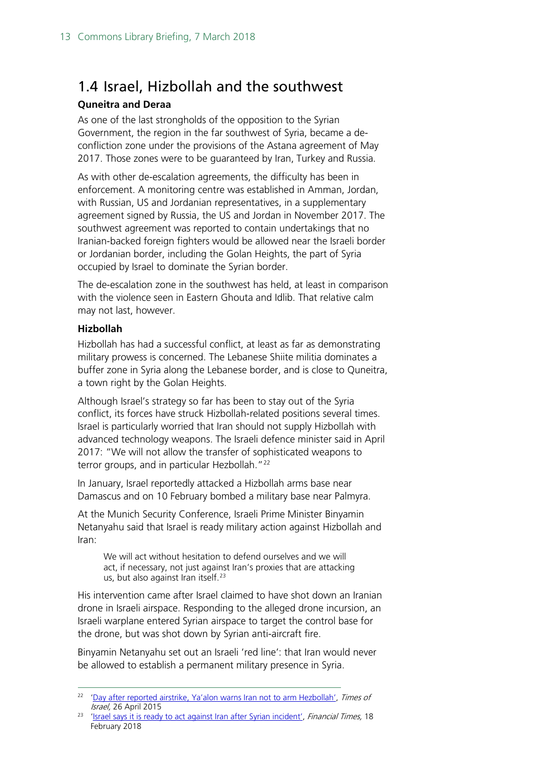### <span id="page-12-0"></span>1.4 Israel, Hizbollah and the southwest

#### **Quneitra and Deraa**

As one of the last strongholds of the opposition to the Syrian Government, the region in the far southwest of Syria, became a deconfliction zone under the provisions of the Astana agreement of May 2017. Those zones were to be guaranteed by Iran, Turkey and Russia.

As with other de-escalation agreements, the difficulty has been in enforcement. A monitoring centre was established in Amman, Jordan, with Russian, US and Jordanian representatives, in a supplementary agreement signed by Russia, the US and Jordan in November 2017. The southwest agreement was reported to contain undertakings that no Iranian-backed foreign fighters would be allowed near the Israeli border or Jordanian border, including the Golan Heights, the part of Syria occupied by Israel to dominate the Syrian border.

The de-escalation zone in the southwest has held, at least in comparison with the violence seen in Eastern Ghouta and Idlib. That relative calm may not last, however.

#### **Hizbollah**

Hizbollah has had a successful conflict, at least as far as demonstrating military prowess is concerned. The Lebanese Shiite militia dominates a buffer zone in Syria along the Lebanese border, and is close to Quneitra, a town right by the Golan Heights.

Although Israel's strategy so far has been to stay out of the Syria conflict, its forces have struck Hizbollah-related positions several times. Israel is particularly worried that Iran should not supply Hizbollah with advanced technology weapons. The Israeli defence minister said in April 2017: "We will not allow the transfer of sophisticated weapons to terror groups, and in particular Hezbollah."<sup>[22](#page-12-1)</sup>

In January, Israel reportedly attacked a Hizbollah arms base near Damascus and on 10 February bombed a military base near Palmyra.

At the Munich Security Conference, Israeli Prime Minister Binyamin Netanyahu said that Israel is ready military action against Hizbollah and Iran:

We will act without hesitation to defend ourselves and we will act, if necessary, not just against Iran's proxies that are attacking us, but also against Iran itself.<sup>[23](#page-12-2)</sup>

His intervention came after Israel claimed to have shot down an Iranian drone in Israeli airspace. Responding to the alleged drone incursion, an Israeli warplane entered Syrian airspace to target the control base for the drone, but was shot down by Syrian anti-aircraft fire.

Binyamin Netanyahu set out an Israeli 'red line': that Iran would never be allowed to establish a permanent military presence in Syria.

<span id="page-12-1"></span><sup>&</sup>lt;sup>22</sup> ['Day after reported airstrike, Ya'alon warns Iran not to arm](https://www.timesofisrael.com/day-after-reported-strike-yaalon-warns-iran-from-arming-hezbollah/) Hezbollah', Times of Israel, 26 April 2015

<span id="page-12-2"></span><sup>&</sup>lt;sup>23</sup> ['Israel says it is ready to act against Iran after Syrian incident',](https://www.ft.com/content/8e4200d8-149e-11e8-9376-4a6390addb44) Financial Times, 18 February 2018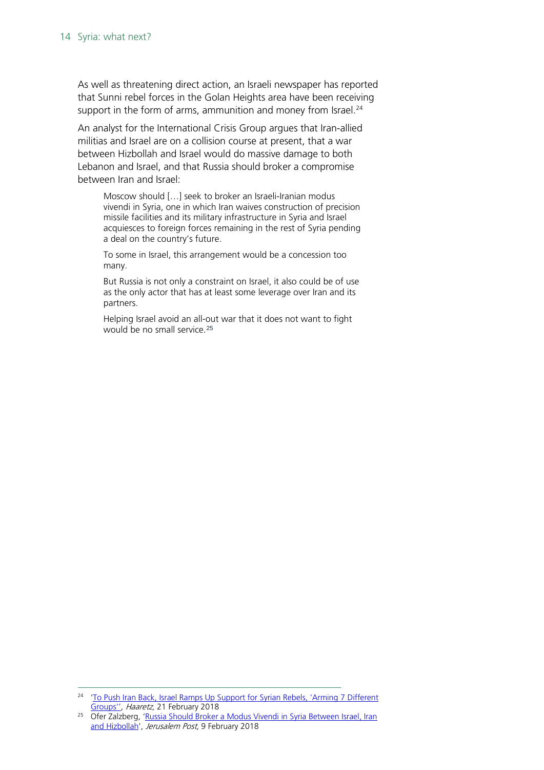As well as threatening direct action, an Israeli newspaper has reported that Sunni rebel forces in the Golan Heights area have been receiving support in the form of arms, ammunition and money from Israel.<sup>[24](#page-13-0)</sup>

An analyst for the International Crisis Group argues that Iran-allied militias and Israel are on a collision course at present, that a war between Hizbollah and Israel would do massive damage to both Lebanon and Israel, and that Russia should broker a compromise between Iran and Israel:

Moscow should […] seek to broker an Israeli-Iranian modus vivendi in Syria, one in which Iran waives construction of precision missile facilities and its military infrastructure in Syria and Israel acquiesces to foreign forces remaining in the rest of Syria pending a deal on the country's future.

To some in Israel, this arrangement would be a concession too many.

But Russia is not only a constraint on Israel, it also could be of use as the only actor that has at least some leverage over Iran and its partners.

Helping Israel avoid an all-out war that it does not want to fight would be no small service.[25](#page-13-1)

<span id="page-13-0"></span><sup>&</sup>lt;sup>24</sup> 'To Push Iran Back, Israel Ramps Up Support for Syrian Rebels, 'Arming 7 Different [Groups'',](https://www.haaretz.com/israel-news/with-eye-on-iran-israel-increases-military-support-for-syrian-rebels-1.5826348) Haaretz, 21 February 2018

<span id="page-13-1"></span><sup>&</sup>lt;sup>25</sup> Ofer Zalzberg, 'Russia Should Broker a Modus Vivendi in Syria Between Israel, Iran [and Hizbollah'](https://www.crisisgroup.org/middle-east-north-africa/eastern-mediterranean/israelpalestine/russia-should-broker-modus-vivendi-syria-between-israel-iran-and-hizbollah?utm_source=Sign+Up+to+Crisis+Group%27s+Email+Updates&utm_campaign=54f304a786-EMAIL_CAMPAIGN_2018_02_05&utm_medium=email&utm_term=0_1dab8c11ea-54f304a786-359581601), Jerusalem Post, 9 February 2018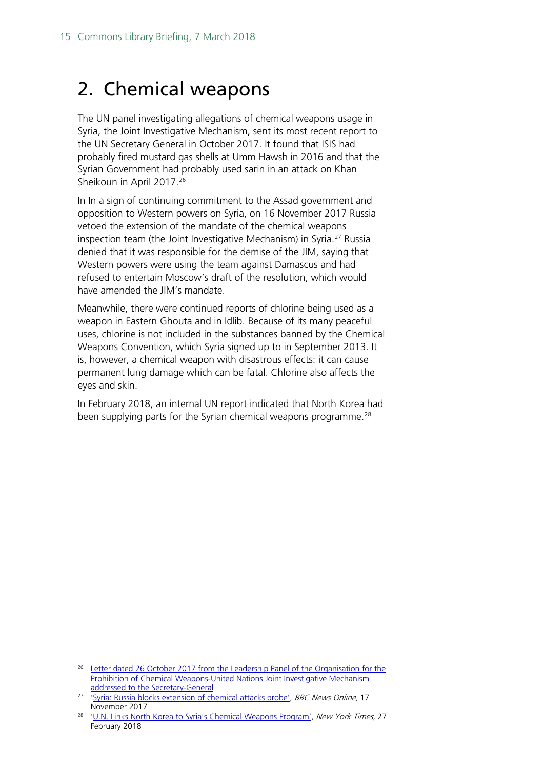## <span id="page-14-0"></span>2. Chemical weapons

The UN panel investigating allegations of chemical weapons usage in Syria, the Joint Investigative Mechanism, sent its most recent report to the UN Secretary General in October 2017. It found that ISIS had probably fired mustard gas shells at Umm Hawsh in 2016 and that the Syrian Government had probably used sarin in an attack on Khan Sheikoun in April 2017.<sup>[26](#page-14-1)</sup>

In In a sign of continuing commitment to the Assad government and opposition to Western powers on Syria, on 16 November 2017 Russia vetoed the extension of the mandate of the chemical weapons inspection team (the Joint Investigative Mechanism) in Syria.<sup>[27](#page-14-2)</sup> Russia denied that it was responsible for the demise of the JIM, saying that Western powers were using the team against Damascus and had refused to entertain Moscow's draft of the resolution, which would have amended the JIM's mandate.

Meanwhile, there were continued reports of chlorine being used as a weapon in Eastern Ghouta and in Idlib. Because of its many peaceful uses, chlorine is not included in the substances banned by the Chemical Weapons Convention, which Syria signed up to in September 2013. It is, however, a chemical weapon with disastrous effects: it can cause permanent lung damage which can be fatal. Chlorine also affects the eyes and skin.

In February 2018, an internal UN report indicated that North Korea had been supplying parts for the Syrian chemical weapons programme.<sup>[28](#page-14-3)</sup>

<span id="page-14-1"></span><sup>&</sup>lt;sup>26</sup> Letter dated 26 October 2017 from the Leadership Panel of the Organisation for the [Prohibition of Chemical Weapons-United Nations Joint Investigative Mechanism](https://drive.google.com/file/d/0ByLPNZ-eSjJdcGZUb0hqalFOa0hhdEZ3WlBvZmRnajFRV3pr/view)  [addressed to the Secretary-General](https://drive.google.com/file/d/0ByLPNZ-eSjJdcGZUb0hqalFOa0hhdEZ3WlBvZmRnajFRV3pr/view)

<span id="page-14-2"></span><sup>&</sup>lt;sup>27</sup> ['Syria: Russia blocks extension of chemical attacks probe',](http://www.bbc.co.uk/news/world-middle-east-42020959) BBC News Online, 17 November 2017

<span id="page-14-3"></span><sup>&</sup>lt;sup>28</sup> ['U.N. Links North Korea to Syria's Chemical Weapons Program',](https://www.nytimes.com/2018/02/27/world/asia/north-korea-syria-chemical-weapons-sanctions.html) New York Times, 27 February 2018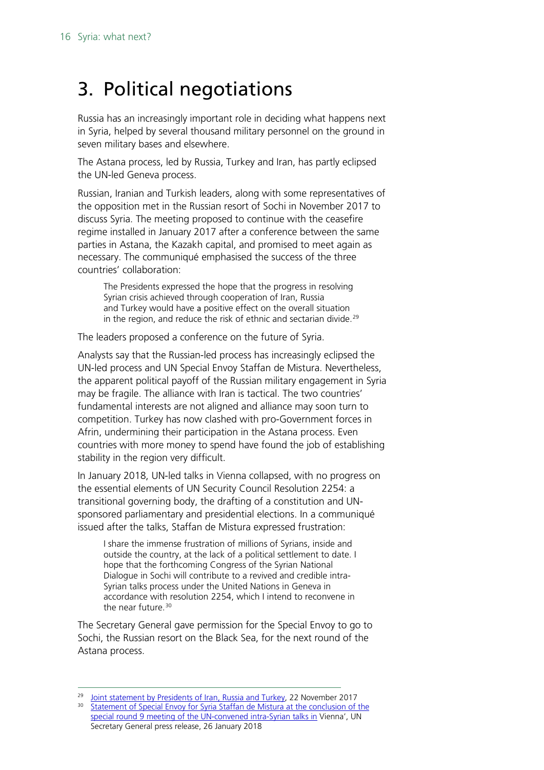# <span id="page-15-0"></span>3. Political negotiations

Russia has an increasingly important role in deciding what happens next in Syria, helped by several thousand military personnel on the ground in seven military bases and elsewhere.

The Astana process, led by Russia, Turkey and Iran, has partly eclipsed the UN-led Geneva process.

Russian, Iranian and Turkish leaders, along with some representatives of the opposition met in the Russian resort of Sochi in November 2017 to discuss Syria. The meeting proposed to continue with the ceasefire regime installed in January 2017 after a conference between the same parties in Astana, the Kazakh capital, and promised to meet again as necessary. The communiqué emphasised the success of the three countries' collaboration:

The Presidents expressed the hope that the progress in resolving Syrian crisis achieved through cooperation of Iran, Russia and Turkey would have а positive effect on the overall situation in the region, and reduce the risk of ethnic and sectarian divide.<sup>[29](#page-15-1)</sup>

The leaders proposed a conference on the future of Syria.

Analysts say that the Russian-led process has increasingly eclipsed the UN-led process and UN Special Envoy Staffan de Mistura. Nevertheless, the apparent political payoff of the Russian military engagement in Syria may be fragile. The alliance with Iran is tactical. The two countries' fundamental interests are not aligned and alliance may soon turn to competition. Turkey has now clashed with pro-Government forces in Afrin, undermining their participation in the Astana process. Even countries with more money to spend have found the job of establishing stability in the region very difficult.

In January 2018, UN-led talks in Vienna collapsed, with no progress on the essential elements of UN Security Council Resolution 2254: a transitional governing body, the drafting of a constitution and UNsponsored parliamentary and presidential elections. In a communiqué issued after the talks, Staffan de Mistura expressed frustration:

I share the immense frustration of millions of Syrians, inside and outside the country, at the lack of a political settlement to date. I hope that the forthcoming Congress of the Syrian National Dialogue in Sochi will contribute to a revived and credible intra-Syrian talks process under the United Nations in Geneva in accordance with resolution 2254, which I intend to reconvene in the near future. [30](#page-15-2)

The Secretary General gave permission for the Special Envoy to go to Sochi, the Russian resort on the Black Sea, for the next round of the Astana process.

<span id="page-15-1"></span><sup>&</sup>lt;sup>29</sup> [Joint statement by](http://en.kremlin.ru/supplement/5256) Presidents of Iran, Russia and Turkey, 22 November 2017

<span id="page-15-2"></span><sup>&</sup>lt;sup>30</sup> Statement of Special Envoy for Syria Staffan de Mistura at the conclusion of the [special round 9 meeting of the UN-convened](https://www.un.org/sg/en/content/sg/note-correspondents/2018-01-26/note-correspondents-statement-special-envoy-syria-staffan) intra-Syrian talks in Vienna', UN Secretary General press release, 26 January 2018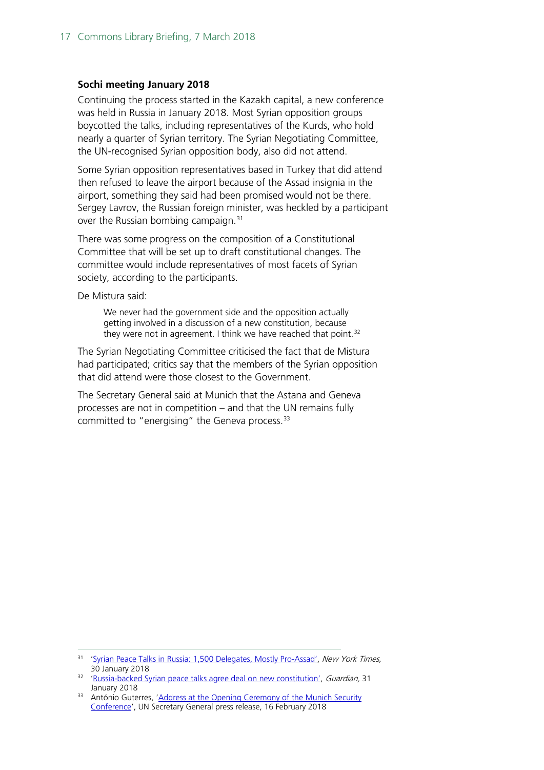#### **Sochi meeting January 2018**

Continuing the process started in the Kazakh capital, a new conference was held in Russia in January 2018. Most Syrian opposition groups boycotted the talks, including representatives of the Kurds, who hold nearly a quarter of Syrian territory. The Syrian Negotiating Committee, the UN-recognised Syrian opposition body, also did not attend.

Some Syrian opposition representatives based in Turkey that did attend then refused to leave the airport because of the Assad insignia in the airport, something they said had been promised would not be there. Sergey Lavrov, the Russian foreign minister, was heckled by a participant over the Russian bombing campaign.[31](#page-16-0)

There was some progress on the composition of a Constitutional Committee that will be set up to draft constitutional changes. The committee would include representatives of most facets of Syrian society, according to the participants.

De Mistura said:

We never had the government side and the opposition actually getting involved in a discussion of a new constitution, because they were not in agreement. I think we have reached that point.<sup>[32](#page-16-1)</sup>

The Syrian Negotiating Committee criticised the fact that de Mistura had participated; critics say that the members of the Syrian opposition that did attend were those closest to the Government.

The Secretary General said at Munich that the Astana and Geneva processes are not in competition – and that the UN remains fully committed to "energising" the Geneva process.<sup>33</sup>

<span id="page-16-0"></span><sup>31</sup> ['Syrian Peace Talks in Russia: 1,500 Delegates, Mostly Pro-Assad',](https://www.nytimes.com/2018/01/30/world/middleeast/syria-russia-sochi-talks.html) New York Times, 30 January 2018

<span id="page-16-1"></span><sup>&</sup>lt;sup>32</sup> ['Russia-backed Syrian peace talks agree deal on new constitution',](https://www.theguardian.com/world/2018/jan/31/russia-backed-syrian-peace-talks-deal-constitution-un) Guardian, 31 January 2018

<span id="page-16-2"></span><sup>&</sup>lt;sup>33</sup> António Guterres, 'Address at the Opening Ceremony of the Munich Security [Conference'](https://www.un.org/sg/en/content/sg/speeches/2018-02-16/address-opening-ceremony-munich-security-conference), UN Secretary General press release, 16 February 2018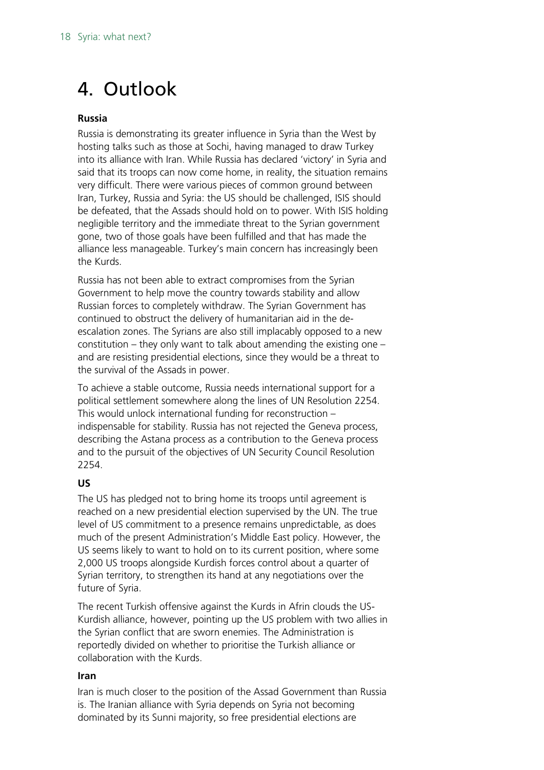# <span id="page-17-0"></span>4. Outlook

#### **Russia**

Russia is demonstrating its greater influence in Syria than the West by hosting talks such as those at Sochi, having managed to draw Turkey into its alliance with Iran. While Russia has declared 'victory' in Syria and said that its troops can now come home, in reality, the situation remains very difficult. There were various pieces of common ground between Iran, Turkey, Russia and Syria: the US should be challenged, ISIS should be defeated, that the Assads should hold on to power. With ISIS holding negligible territory and the immediate threat to the Syrian government gone, two of those goals have been fulfilled and that has made the alliance less manageable. Turkey's main concern has increasingly been the Kurds.

Russia has not been able to extract compromises from the Syrian Government to help move the country towards stability and allow Russian forces to completely withdraw. The Syrian Government has continued to obstruct the delivery of humanitarian aid in the deescalation zones. The Syrians are also still implacably opposed to a new constitution – they only want to talk about amending the existing one – and are resisting presidential elections, since they would be a threat to the survival of the Assads in power.

To achieve a stable outcome, Russia needs international support for a political settlement somewhere along the lines of UN Resolution 2254. This would unlock international funding for reconstruction – indispensable for stability. Russia has not rejected the Geneva process, describing the Astana process as a contribution to the Geneva process and to the pursuit of the objectives of UN Security Council Resolution 2254.

#### **US**

The US has pledged not to bring home its troops until agreement is reached on a new presidential election supervised by the UN. The true level of US commitment to a presence remains unpredictable, as does much of the present Administration's Middle East policy. However, the US seems likely to want to hold on to its current position, where some 2,000 US troops alongside Kurdish forces control about a quarter of Syrian territory, to strengthen its hand at any negotiations over the future of Syria.

The recent Turkish offensive against the Kurds in Afrin clouds the US-Kurdish alliance, however, pointing up the US problem with two allies in the Syrian conflict that are sworn enemies. The Administration is reportedly divided on whether to prioritise the Turkish alliance or collaboration with the Kurds.

#### **Iran**

Iran is much closer to the position of the Assad Government than Russia is. The Iranian alliance with Syria depends on Syria not becoming dominated by its Sunni majority, so free presidential elections are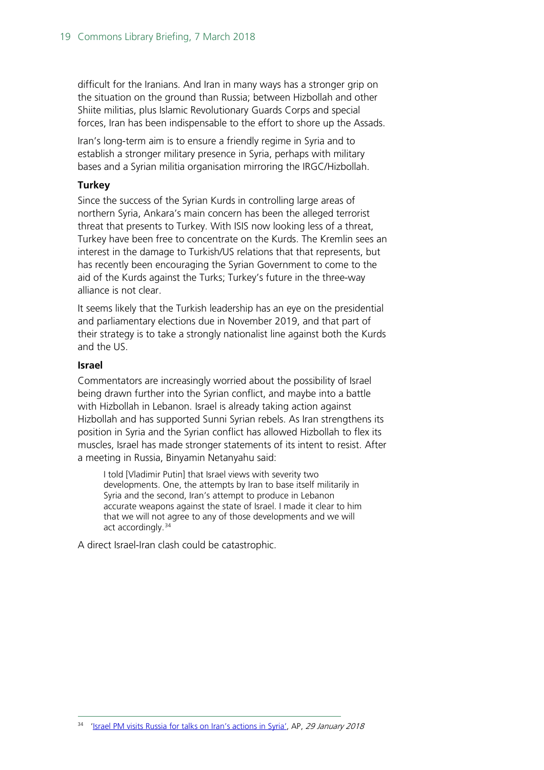difficult for the Iranians. And Iran in many ways has a stronger grip on the situation on the ground than Russia; between Hizbollah and other Shiite militias, plus Islamic Revolutionary Guards Corps and special forces, Iran has been indispensable to the effort to shore up the Assads.

Iran's long-term aim is to ensure a friendly regime in Syria and to establish a stronger military presence in Syria, perhaps with military bases and a Syrian militia organisation mirroring the IRGC/Hizbollah.

#### **Turkey**

Since the success of the Syrian Kurds in controlling large areas of northern Syria, Ankara's main concern has been the alleged terrorist threat that presents to Turkey. With ISIS now looking less of a threat, Turkey have been free to concentrate on the Kurds. The Kremlin sees an interest in the damage to Turkish/US relations that that represents, but has recently been encouraging the Syrian Government to come to the aid of the Kurds against the Turks; Turkey's future in the three-way alliance is not clear.

It seems likely that the Turkish leadership has an eye on the presidential and parliamentary elections due in November 2019, and that part of their strategy is to take a strongly nationalist line against both the Kurds and the US.

#### **Israel**

Commentators are increasingly worried about the possibility of Israel being drawn further into the Syrian conflict, and maybe into a battle with Hizbollah in Lebanon. Israel is already taking action against Hizbollah and has supported Sunni Syrian rebels. As Iran strengthens its position in Syria and the Syrian conflict has allowed Hizbollah to flex its muscles, Israel has made stronger statements of its intent to resist. After a meeting in Russia, Binyamin Netanyahu said:

I told [Vladimir Putin] that Israel views with severity two developments. One, the attempts by Iran to base itself militarily in Syria and the second, Iran's attempt to produce in Lebanon accurate weapons against the state of Israel. I made it clear to him that we will not agree to any of those developments and we will act accordingly.<sup>[34](#page-18-0)</sup>

A direct Israel-Iran clash could be catastrophic.

<span id="page-18-0"></span><sup>&</sup>lt;sup>34</sup> ['Israel PM visits Russia for talks on Iran's actions in Syria',](https://apnews.com/00b20f98a2f4409c873d604f93de279a) AP, 29 January 2018